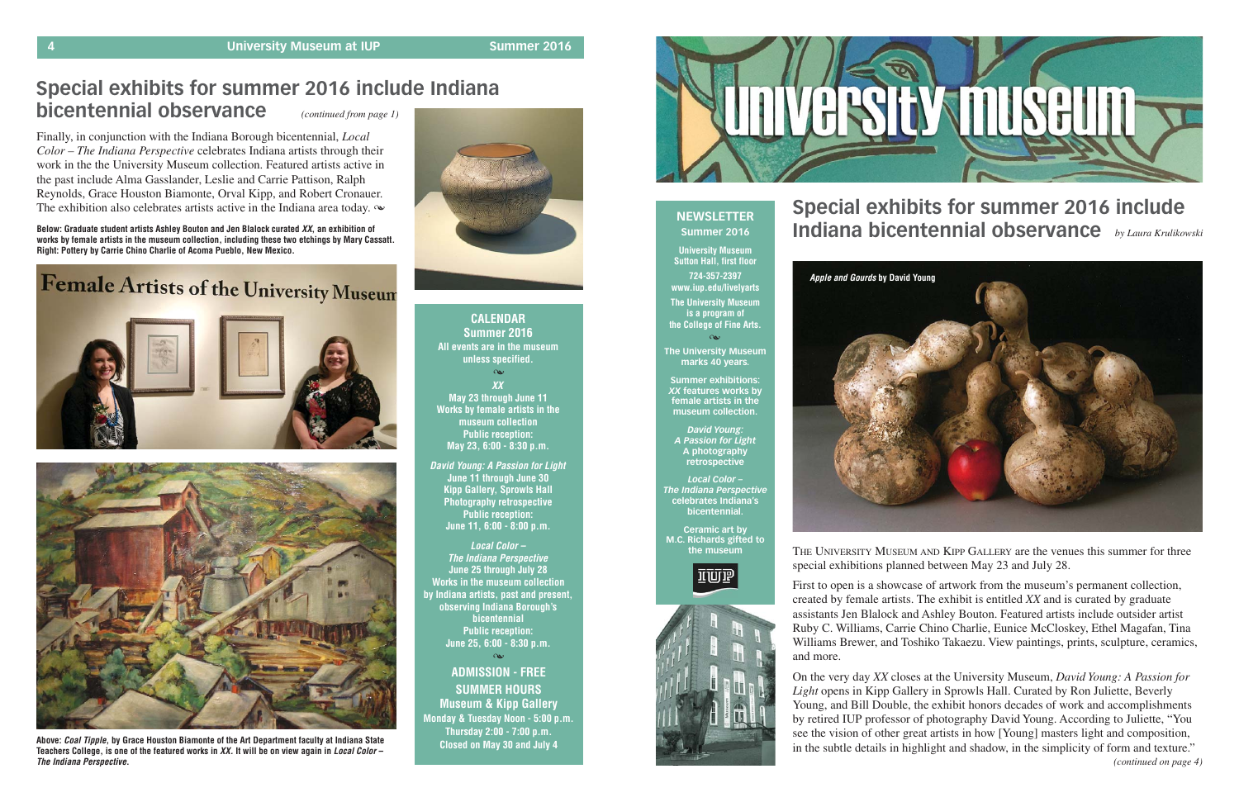**XX May 23 through June 11 Works by female artists in the museum collection Public reception: May 23, 6:00 - 8:30 p.m. CALENDAR Summer 2016 All events are in the museum unless specified.**  $\infty$ 

**David Young: A Passion for Light June 11 through June 30 Kipp Gallery, Sprowls Hall Photography retrospective Public reception: June 11, 6:00 - 8:00 p.m.** 

**Local Color – The Indiana Perspective June 25 through July 28 Works in the museum collection by Indiana artists, past and present, observing Indiana Borough's bicentennial Public reception: June 25, 6:00 - 8:30 p.m.**

**ADMISSION - FREE SUMMER HOURS Museum & Kipp Gallery Monday & Tuesday Noon - 5:00 p.m. Thursday 2:00 - 7:00 p.m. Closed on May 30 and July 4**

 $\infty$ 



**Below: Graduate student artists Ashley Bouton and Jen Blalock curated XX, an exhibition of works by female artists in the museum collection, including these two etchings by Mary Cassatt. Right: Pottery by Carrie Chino Charlie of Acoma Pueblo, New Mexico.** 

# Female Artists of the University Museum





### **NEWSLETTER Summer 2016**

**University Museum Sutton Hall, first floor 724-357-2397 www.iup.edu/livelyarts The University Museum is a program of the College of Fine Arts.**

### $\alpha$

**The University Museum marks 40 years.**

**Summer exhibitions:** *XX* **features works by female artists in the museum collection.**

Finally, in conjunction with the Indiana Borough bicentennial, *Local Color – The Indiana Perspective* celebrates Indiana artists through their work in the the University Museum collection. Featured artists active in the past include Alma Gasslander, Leslie and Carrie Pattison, Ralph Reynolds, Grace Houston Biamonte, Orval Kipp, and Robert Cronauer. The exhibition also celebrates artists active in the Indiana area today.  $\infty$ 

> *David Young: A Passion for Light* **A photography retrospective**

*Local Color – The Indiana Perspective* **celebrates Indiana's bicentennial.**

**Ceramic art by M.C. Richards gifted to the museum**





# **Special exhibits for summer 2016 include Indiana bicentennial observance** *by Laura Krulikowski*

#### **Special exhibits for summer 2016 include Indiana bicentennial observance** *(continued from page 1)*

THE UNIVERSITY MUSEUM AND KIPP GALLERY are the venues this summer for three special exhibitions planned between May 23 and July 28.

First to open is a showcase of artwork from the museum's permanent collection, created by female artists. The exhibit is entitled *XX* and is curated by graduate assistants Jen Blalock and Ashley Bouton. Featured artists include outsider artist Ruby C. Williams, Carrie Chino Charlie, Eunice McCloskey, Ethel Magafan, Tina Williams Brewer, and Toshiko Takaezu. View paintings, prints, sculpture, ceramics,

and more.

On the very day *XX* closes at the University Museum, *David Young: A Passion for Light* opens in Kipp Gallery in Sprowls Hall. Curated by Ron Juliette, Beverly Young, and Bill Double, the exhibit honors decades of work and accomplishments by retired IUP professor of photography David Young. According to Juliette, "You see the vision of other great artists in how [Young] masters light and composition, in the subtle details in highlight and shadow, in the simplicity of form and texture."



**Above: Coal Tipple, by Grace Houston Biamonte of the Art Department faculty at Indiana State Teachers College, is one of the featured works in XX. It will be on view again in Local Color – The Indiana Perspective.**